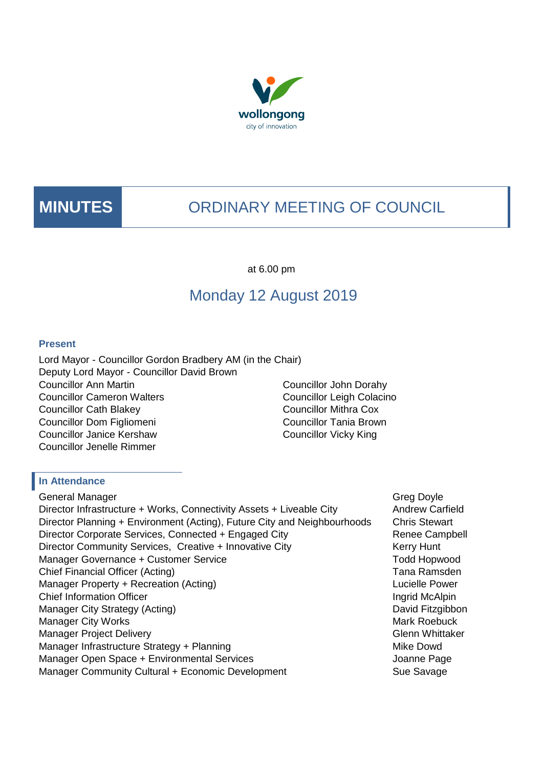



# **MINUTES** ORDINARY MEETING OF COUNCIL

at 6.00 pm

# Monday 12 August 2019

#### **Present**

Lord Mayor - Councillor Gordon Bradbery AM (in the Chair) Deputy Lord Mayor - Councillor David Brown Councillor Ann Martin Councillor Cameron Walters Councillor Cath Blakey Councillor Dom Figliomeni Councillor Janice Kershaw Councillor Jenelle Rimmer

Councillor John Dorahy Councillor Leigh Colacino Councillor Mithra Cox Councillor Tania Brown Councillor Vicky King

#### **In Attendance**

General Manager Greg Doyle Controller Controller Controller Controller Controller Controller Controller Controller Controller Controller Controller Controller Controller Controller Controller Controller Controller Controll Director Infrastructure + Works, Connectivity Assets + Liveable City Andrew Carfield Director Planning + Environment (Acting), Future City and Neighbourhoods Chris Stewart Director Corporate Services, Connected + Engaged City **Renee Campbell** Director Community Services, Creative + Innovative City Kerry Hunt Manager Governance + Customer Service The Customer Service Todd Hopwood Chief Financial Officer (Acting) **Tana Ramsden** Chief Financial Officer (Acting) Manager Property + Recreation (Acting) Manager Property + Recreation (Acting) Chief Information Officer **Ingrid McAlpin** Chief Information Officer **Ingrid McAlpin** Manager City Strategy (Acting) and David Fitzgibbon Manager City Works **Manager City Works** Mark Roebuck **Manager** City Works **Manager** City Works **Manager** City Works **Manager** City Works **Manager** City Works **Manager** City Works **Manager** City Works **Manager** City Works Manager Project Delivery **Glenn Whittaker** Manager Infrastructure Strategy + Planning Mike Dowd Mike Dowd Manager Open Space + Environmental Services and a service of the Space of Alexander Page Manager Community Cultural + Economic Development Sue Savage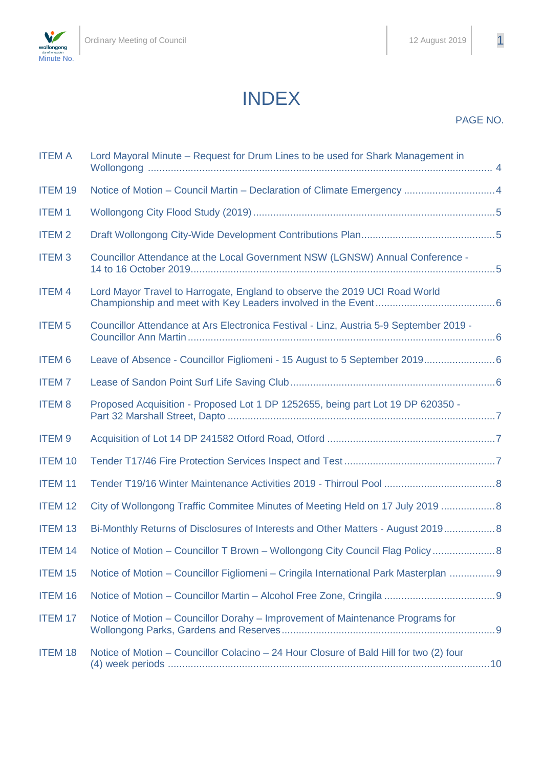

## PAGE NO.

| <b>ITEM A</b>           | Lord Mayoral Minute - Request for Drum Lines to be used for Shark Management in        |  |
|-------------------------|----------------------------------------------------------------------------------------|--|
| <b>ITEM 19</b>          | Notice of Motion - Council Martin - Declaration of Climate Emergency  4                |  |
| <b>ITEM1</b>            |                                                                                        |  |
| <b>ITEM2</b>            |                                                                                        |  |
| <b>ITEM3</b>            | Councillor Attendance at the Local Government NSW (LGNSW) Annual Conference -          |  |
| <b>ITEM4</b>            | Lord Mayor Travel to Harrogate, England to observe the 2019 UCI Road World             |  |
| <b>ITEM<sub>5</sub></b> | Councillor Attendance at Ars Electronica Festival - Linz, Austria 5-9 September 2019 - |  |
| <b>ITEM6</b>            |                                                                                        |  |
| <b>ITEM7</b>            |                                                                                        |  |
| <b>ITEM8</b>            | Proposed Acquisition - Proposed Lot 1 DP 1252655, being part Lot 19 DP 620350 -        |  |
| <b>ITEM9</b>            |                                                                                        |  |
| <b>ITEM 10</b>          |                                                                                        |  |
| <b>ITEM 11</b>          |                                                                                        |  |
| <b>ITEM 12</b>          | City of Wollongong Traffic Commitee Minutes of Meeting Held on 17 July 2019  8         |  |
| <b>ITEM 13</b>          | Bi-Monthly Returns of Disclosures of Interests and Other Matters - August 2019 8       |  |
| <b>ITEM 14</b>          | Notice of Motion – Councillor T Brown – Wollongong City Council Flag Policy  8         |  |
| <b>ITEM 15</b>          | Notice of Motion – Councillor Figliomeni – Cringila International Park Masterplan  9   |  |
| <b>ITEM 16</b>          |                                                                                        |  |
| <b>ITEM 17</b>          | Notice of Motion - Councillor Dorahy - Improvement of Maintenance Programs for         |  |
| <b>ITEM 18</b>          | Notice of Motion - Councillor Colacino - 24 Hour Closure of Bald Hill for two (2) four |  |

INDEX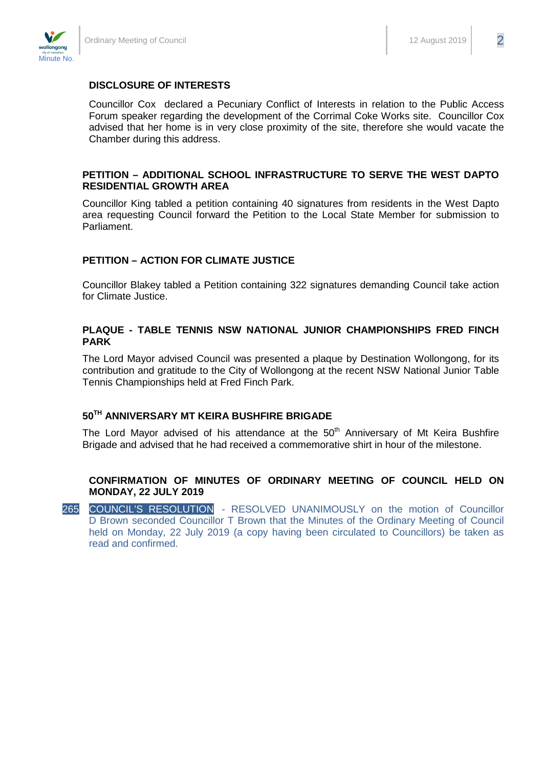

#### **DISCLOSURE OF INTERESTS**

Councillor Cox declared a Pecuniary Conflict of Interests in relation to the Public Access Forum speaker regarding the development of the Corrimal Coke Works site. Councillor Cox advised that her home is in very close proximity of the site, therefore she would vacate the Chamber during this address.

#### **PETITION – ADDITIONAL SCHOOL INFRASTRUCTURE TO SERVE THE WEST DAPTO RESIDENTIAL GROWTH AREA**

Councillor King tabled a petition containing 40 signatures from residents in the West Dapto area requesting Council forward the Petition to the Local State Member for submission to Parliament.

#### **PETITION – ACTION FOR CLIMATE JUSTICE**

Councillor Blakey tabled a Petition containing 322 signatures demanding Council take action for Climate Justice.

#### **PLAQUE - TABLE TENNIS NSW NATIONAL JUNIOR CHAMPIONSHIPS FRED FINCH PARK**

The Lord Mayor advised Council was presented a plaque by Destination Wollongong, for its contribution and gratitude to the City of Wollongong at the recent NSW National Junior Table Tennis Championships held at Fred Finch Park.

#### **50TH ANNIVERSARY MT KEIRA BUSHFIRE BRIGADE**

The Lord Mayor advised of his attendance at the  $50<sup>th</sup>$  Anniversary of Mt Keira Bushfire Brigade and advised that he had received a commemorative shirt in hour of the milestone.

#### **CONFIRMATION OF MINUTES OF ORDINARY MEETING OF COUNCIL HELD ON MONDAY, 22 JULY 2019**

265 COUNCIL'S RESOLUTION - RESOLVED UNANIMOUSLY on the motion of Councillor D Brown seconded Councillor T Brown that the Minutes of the Ordinary Meeting of Council held on Monday, 22 July 2019 (a copy having been circulated to Councillors) be taken as read and confirmed.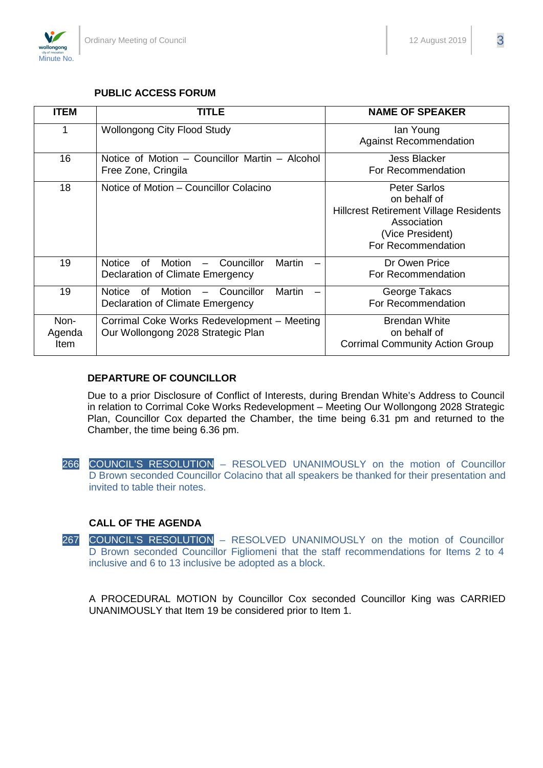

#### **PUBLIC ACCESS FORUM**

| <b>ITEM</b>            | <b>TITLE</b>                                                                                                          | <b>NAME OF SPEAKER</b>                                                                                                                        |
|------------------------|-----------------------------------------------------------------------------------------------------------------------|-----------------------------------------------------------------------------------------------------------------------------------------------|
|                        | <b>Wollongong City Flood Study</b>                                                                                    | lan Young<br><b>Against Recommendation</b>                                                                                                    |
| 16                     | Notice of Motion – Councillor Martin – Alcohol<br>Free Zone, Cringila                                                 | <b>Jess Blacker</b><br>For Recommendation                                                                                                     |
| 18                     | Notice of Motion – Councillor Colacino                                                                                | <b>Peter Sarlos</b><br>on behalf of<br><b>Hillcrest Retirement Village Residents</b><br>Association<br>(Vice President)<br>For Recommendation |
| 19                     | Councillor<br>Martin<br><b>Notice</b><br>of<br>Motion<br>$\overline{\phantom{0}}$<br>Declaration of Climate Emergency | Dr Owen Price<br>For Recommendation                                                                                                           |
| 19                     | <b>Martin</b><br><b>Notice</b><br><b>Motion</b><br>Councillor<br>of<br>Declaration of Climate Emergency               | George Takacs<br>For Recommendation                                                                                                           |
| Non-<br>Agenda<br>Item | Corrimal Coke Works Redevelopment - Meeting<br>Our Wollongong 2028 Strategic Plan                                     | <b>Brendan White</b><br>on behalf of<br><b>Corrimal Community Action Group</b>                                                                |

#### **DEPARTURE OF COUNCILLOR**

Due to a prior Disclosure of Conflict of Interests, during Brendan White's Address to Council in relation to Corrimal Coke Works Redevelopment – Meeting Our Wollongong 2028 Strategic Plan, Councillor Cox departed the Chamber, the time being 6.31 pm and returned to the Chamber, the time being 6.36 pm.

266 COUNCIL'S RESOLUTION – RESOLVED UNANIMOUSLY on the motion of Councillor D Brown seconded Councillor Colacino that all speakers be thanked for their presentation and invited to table their notes.

#### **CALL OF THE AGENDA**

267 COUNCIL'S RESOLUTION – RESOLVED UNANIMOUSLY on the motion of Councillor D Brown seconded Councillor Figliomeni that the staff recommendations for Items 2 to 4 inclusive and 6 to 13 inclusive be adopted as a block.

A PROCEDURAL MOTION by Councillor Cox seconded Councillor King was CARRIED UNANIMOUSLY that Item 19 be considered prior to Item 1.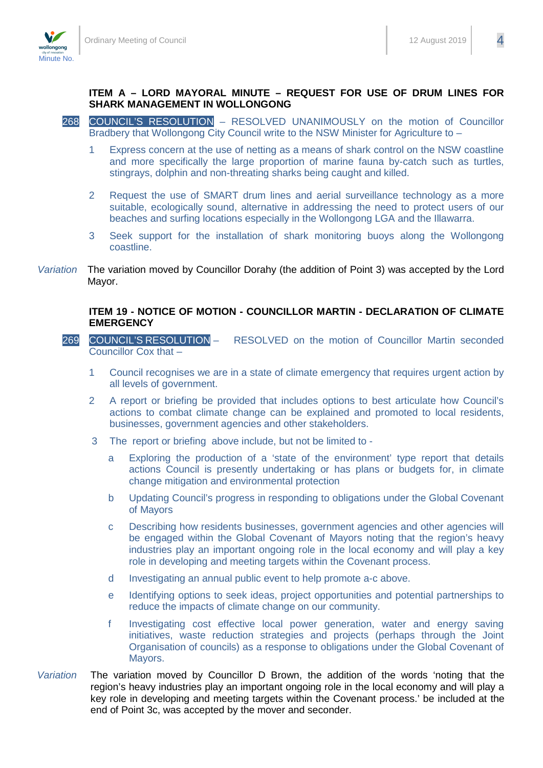

#### **ITEM A – LORD MAYORAL MINUTE – REQUEST FOR USE OF DRUM LINES FOR SHARK MANAGEMENT IN WOLLONGONG**

- 268 COUNCIL'S RESOLUTION RESOLVED UNANIMOUSLY on the motion of Councillor Bradbery that Wollongong City Council write to the NSW Minister for Agriculture to -
	- 1 Express concern at the use of netting as a means of shark control on the NSW coastline and more specifically the large proportion of marine fauna by-catch such as turtles, stingrays, dolphin and non-threating sharks being caught and killed.
	- 2 Request the use of SMART drum lines and aerial surveillance technology as a more suitable, ecologically sound, alternative in addressing the need to protect users of our beaches and surfing locations especially in the Wollongong LGA and the Illawarra.
	- 3 Seek support for the installation of shark monitoring buoys along the Wollongong coastline.
- *Variation* The variation moved by Councillor Dorahy (the addition of Point 3) was accepted by the Lord Mayor.

#### **ITEM 19 - NOTICE OF MOTION - COUNCILLOR MARTIN - DECLARATION OF CLIMATE EMERGENCY**

- 269 COUNCIL'S RESOLUTION RESOLVED on the motion of Councillor Martin seconded Councillor Cox that –
	- 1 Council recognises we are in a state of climate emergency that requires urgent action by all levels of government.
	- 2 A report or briefing be provided that includes options to best articulate how Council's actions to combat climate change can be explained and promoted to local residents, businesses, government agencies and other stakeholders.
	- 3 The report or briefing above include, but not be limited to
		- a Exploring the production of a 'state of the environment' type report that details actions Council is presently undertaking or has plans or budgets for, in climate change mitigation and environmental protection
		- b Updating Council's progress in responding to obligations under the Global Covenant of Mayors
		- c Describing how residents businesses, government agencies and other agencies will be engaged within the Global Covenant of Mayors noting that the region's heavy industries play an important ongoing role in the local economy and will play a key role in developing and meeting targets within the Covenant process.
		- d Investigating an annual public event to help promote a-c above.
		- e Identifying options to seek ideas, project opportunities and potential partnerships to reduce the impacts of climate change on our community.
		- f Investigating cost effective local power generation, water and energy saving initiatives, waste reduction strategies and projects (perhaps through the Joint Organisation of councils) as a response to obligations under the Global Covenant of Mayors.
- *Variation* The variation moved by Councillor D Brown, the addition of the words 'noting that the region's heavy industries play an important ongoing role in the local economy and will play a key role in developing and meeting targets within the Covenant process.' be included at the end of Point 3c, was accepted by the mover and seconder.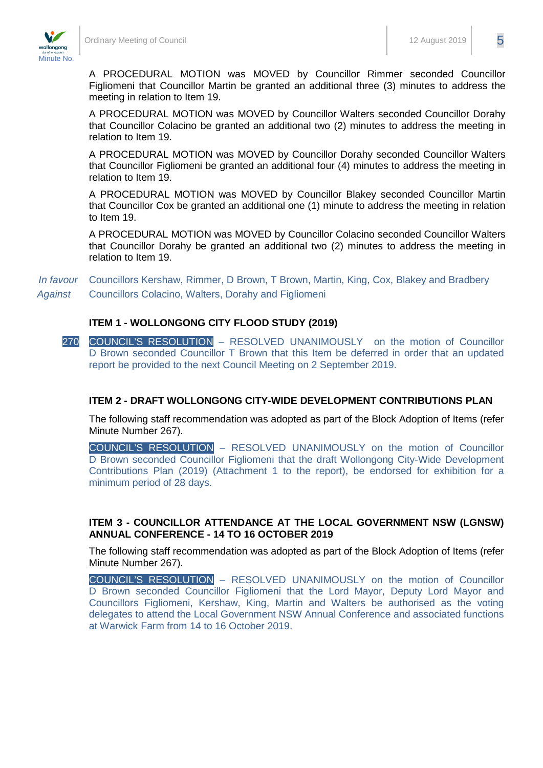

Figliomeni that Councillor Martin be granted an additional three (3) minutes to address the meeting in relation to Item 19.

A PROCEDURAL MOTION was MOVED by Councillor Walters seconded Councillor Dorahy that Councillor Colacino be granted an additional two (2) minutes to address the meeting in relation to Item 19.

A PROCEDURAL MOTION was MOVED by Councillor Dorahy seconded Councillor Walters that Councillor Figliomeni be granted an additional four (4) minutes to address the meeting in relation to Item 19.

A PROCEDURAL MOTION was MOVED by Councillor Blakey seconded Councillor Martin that Councillor Cox be granted an additional one (1) minute to address the meeting in relation to Item 19.

A PROCEDURAL MOTION was MOVED by Councillor Colacino seconded Councillor Walters that Councillor Dorahy be granted an additional two (2) minutes to address the meeting in relation to Item 19.

*In favour* Councillors Kershaw, Rimmer, D Brown, T Brown, Martin, King, Cox, Blakey and Bradbery *Against* Councillors Colacino, Walters, Dorahy and Figliomeni

#### <span id="page-5-0"></span>**ITEM 1 - WOLLONGONG CITY FLOOD STUDY (2019)**

270 COUNCIL'S RESOLUTION – RESOLVED UNANIMOUSLY on the motion of Councillor D Brown seconded Councillor T Brown that this Item be deferred in order that an updated report be provided to the next Council Meeting on 2 September 2019.

#### **ITEM 2 - DRAFT WOLLONGONG CITY-WIDE DEVELOPMENT CONTRIBUTIONS PLAN**

The following staff recommendation was adopted as part of the Block Adoption of Items (refer Minute Number 267).

COUNCIL'S RESOLUTION – RESOLVED UNANIMOUSLY on the motion of Councillor D Brown seconded Councillor Figliomeni that the draft Wollongong City-Wide Development Contributions Plan (2019) (Attachment 1 to the report), be endorsed for exhibition for a minimum period of 28 days.

#### <span id="page-5-2"></span>**ITEM 3 - COUNCILLOR ATTENDANCE AT THE LOCAL GOVERNMENT NSW (LGNSW) ANNUAL CONFERENCE - 14 TO 16 OCTOBER 2019**

The following staff recommendation was adopted as part of the Block Adoption of Items (refer Minute Number 267).

COUNCIL'S RESOLUTION – RESOLVED UNANIMOUSLY on the motion of Councillor D Brown seconded Councillor Figliomeni that the Lord Mayor, Deputy Lord Mayor and Councillors Figliomeni, Kershaw, King, Martin and Walters be authorised as the voting delegates to attend the Local Government NSW Annual Conference and associated functions at Warwick Farm from 14 to 16 October 2019.

<span id="page-5-1"></span>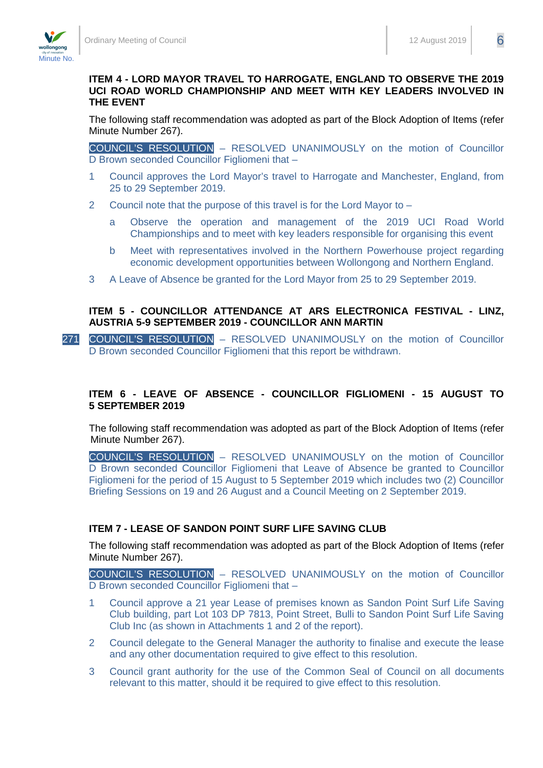<span id="page-6-0"></span>**THE EVENT**

## **ITEM 4 - LORD MAYOR TRAVEL TO HARROGATE, ENGLAND TO OBSERVE THE 2019 UCI ROAD WORLD CHAMPIONSHIP AND MEET WITH KEY LEADERS INVOLVED IN**

The following staff recommendation was adopted as part of the Block Adoption of Items (refer Minute Number 267).

COUNCIL'S RESOLUTION – RESOLVED UNANIMOUSLY on the motion of Councillor D Brown seconded Councillor Figliomeni that –

- 1 Council approves the Lord Mayor's travel to Harrogate and Manchester, England, from 25 to 29 September 2019.
- 2 Council note that the purpose of this travel is for the Lord Mayor to
	- a Observe the operation and management of the 2019 UCI Road World Championships and to meet with key leaders responsible for organising this event
	- b Meet with representatives involved in the Northern Powerhouse project regarding economic development opportunities between Wollongong and Northern England.
- 3 A Leave of Absence be granted for the Lord Mayor from 25 to 29 September 2019.

#### <span id="page-6-1"></span>**ITEM 5 - COUNCILLOR ATTENDANCE AT ARS ELECTRONICA FESTIVAL - LINZ, AUSTRIA 5-9 SEPTEMBER 2019 - COUNCILLOR ANN MARTIN**

271 COUNCIL'S RESOLUTION – RESOLVED UNANIMOUSLY on the motion of Councillor D Brown seconded Councillor Figliomeni that this report be withdrawn.

#### <span id="page-6-2"></span>**ITEM 6 - LEAVE OF ABSENCE - COUNCILLOR FIGLIOMENI - 15 AUGUST TO 5 SEPTEMBER 2019**

The following staff recommendation was adopted as part of the Block Adoption of Items (refer Minute Number 267).

COUNCIL'S RESOLUTION – RESOLVED UNANIMOUSLY on the motion of Councillor D Brown seconded Councillor Figliomeni that Leave of Absence be granted to Councillor Figliomeni for the period of 15 August to 5 September 2019 which includes two (2) Councillor Briefing Sessions on 19 and 26 August and a Council Meeting on 2 September 2019.

### <span id="page-6-3"></span>**ITEM 7 - LEASE OF SANDON POINT SURF LIFE SAVING CLUB**

The following staff recommendation was adopted as part of the Block Adoption of Items (refer Minute Number 267).

COUNCIL'S RESOLUTION – RESOLVED UNANIMOUSLY on the motion of Councillor D Brown seconded Councillor Figliomeni that -

- 1 Council approve a 21 year Lease of premises known as Sandon Point Surf Life Saving Club building, part Lot 103 DP 7813, Point Street, Bulli to Sandon Point Surf Life Saving Club Inc (as shown in Attachments 1 and 2 of the report).
- 2 Council delegate to the General Manager the authority to finalise and execute the lease and any other documentation required to give effect to this resolution.
- 3 Council grant authority for the use of the Common Seal of Council on all documents relevant to this matter, should it be required to give effect to this resolution.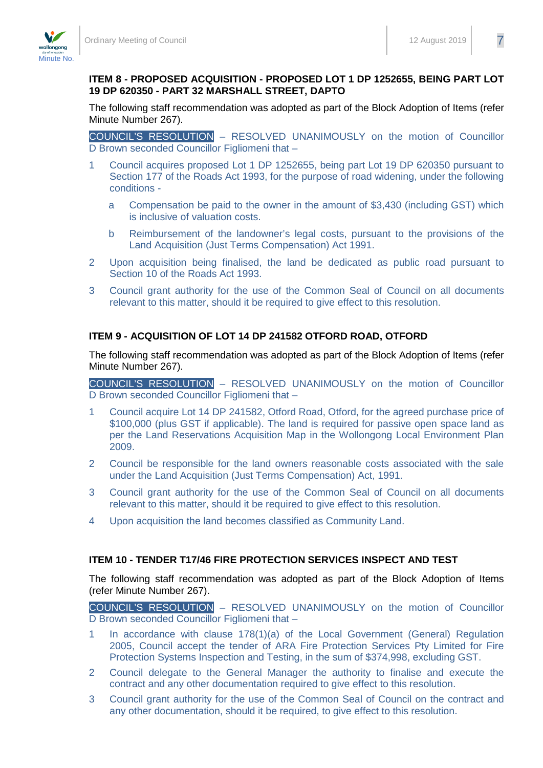#### **ITEM 8 - PROPOSED ACQUISITION - PROPOSED LOT 1 DP 1252655, BEING PART LOT 19 DP 620350 - PART 32 MARSHALL STREET, DAPTO**

<span id="page-7-0"></span>The following staff recommendation was adopted as part of the Block Adoption of Items (refer Minute Number 267).

COUNCIL'S RESOLUTION – RESOLVED UNANIMOUSLY on the motion of Councillor D Brown seconded Councillor Figliomeni that –

- 1 Council acquires proposed Lot 1 DP 1252655, being part Lot 19 DP 620350 pursuant to Section 177 of the Roads Act 1993, for the purpose of road widening, under the following conditions
	- a Compensation be paid to the owner in the amount of \$3,430 (including GST) which is inclusive of valuation costs.
	- b Reimbursement of the landowner's legal costs, pursuant to the provisions of the Land Acquisition (Just Terms Compensation) Act 1991.
- 2 Upon acquisition being finalised, the land be dedicated as public road pursuant to Section 10 of the Roads Act 1993.
- 3 Council grant authority for the use of the Common Seal of Council on all documents relevant to this matter, should it be required to give effect to this resolution.

#### <span id="page-7-1"></span>**ITEM 9 - ACQUISITION OF LOT 14 DP 241582 OTFORD ROAD, OTFORD**

The following staff recommendation was adopted as part of the Block Adoption of Items (refer Minute Number 267).

COUNCIL'S RESOLUTION – RESOLVED UNANIMOUSLY on the motion of Councillor D Brown seconded Councillor Figliomeni that –

- 1 Council acquire Lot 14 DP 241582, Otford Road, Otford, for the agreed purchase price of \$100,000 (plus GST if applicable). The land is required for passive open space land as per the Land Reservations Acquisition Map in the Wollongong Local Environment Plan 2009.
- 2 Council be responsible for the land owners reasonable costs associated with the sale under the Land Acquisition (Just Terms Compensation) Act, 1991.
- 3 Council grant authority for the use of the Common Seal of Council on all documents relevant to this matter, should it be required to give effect to this resolution.
- 4 Upon acquisition the land becomes classified as Community Land.

#### <span id="page-7-2"></span>**ITEM 10 - TENDER T17/46 FIRE PROTECTION SERVICES INSPECT AND TEST**

The following staff recommendation was adopted as part of the Block Adoption of Items (refer Minute Number 267).

COUNCIL'S RESOLUTION – RESOLVED UNANIMOUSLY on the motion of Councillor D Brown seconded Councillor Figliomeni that –

- 1 In accordance with clause 178(1)(a) of the Local Government (General) Regulation 2005, Council accept the tender of ARA Fire Protection Services Pty Limited for Fire Protection Systems Inspection and Testing, in the sum of \$374,998, excluding GST.
- 2 Council delegate to the General Manager the authority to finalise and execute the contract and any other documentation required to give effect to this resolution.
- 3 Council grant authority for the use of the Common Seal of Council on the contract and any other documentation, should it be required, to give effect to this resolution.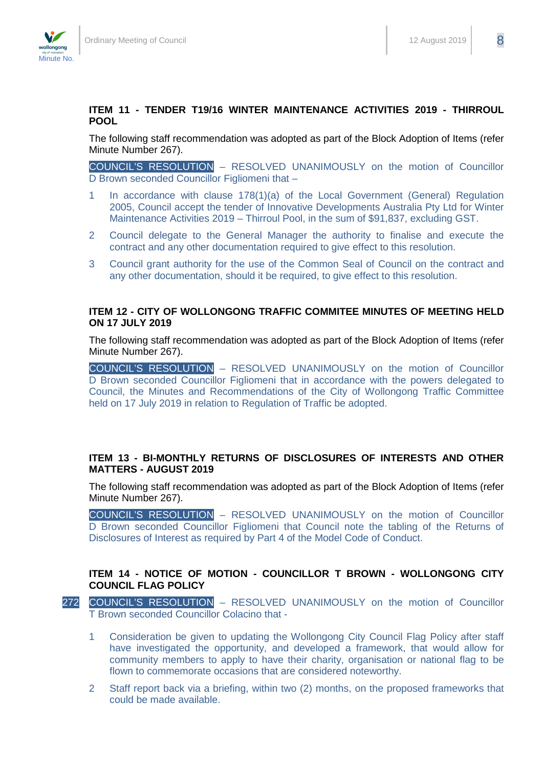#### <span id="page-8-0"></span>**ITEM 11 - TENDER T19/16 WINTER MAINTENANCE ACTIVITIES 2019 - THIRROUL POOL**

The following staff recommendation was adopted as part of the Block Adoption of Items (refer Minute Number 267).

COUNCIL'S RESOLUTION – RESOLVED UNANIMOUSLY on the motion of Councillor D Brown seconded Councillor Figliomeni that –

- 1 In accordance with clause 178(1)(a) of the Local Government (General) Regulation 2005, Council accept the tender of Innovative Developments Australia Pty Ltd for Winter Maintenance Activities 2019 – Thirroul Pool, in the sum of \$91,837, excluding GST.
- 2 Council delegate to the General Manager the authority to finalise and execute the contract and any other documentation required to give effect to this resolution.
- 3 Council grant authority for the use of the Common Seal of Council on the contract and any other documentation, should it be required, to give effect to this resolution.

#### <span id="page-8-1"></span>**ITEM 12 - CITY OF WOLLONGONG TRAFFIC COMMITEE MINUTES OF MEETING HELD ON 17 JULY 2019**

The following staff recommendation was adopted as part of the Block Adoption of Items (refer Minute Number 267).

COUNCIL'S RESOLUTION – RESOLVED UNANIMOUSLY on the motion of Councillor D Brown seconded Councillor Figliomeni that in accordance with the powers delegated to Council, the Minutes and Recommendations of the City of Wollongong Traffic Committee held on 17 July 2019 in relation to Regulation of Traffic be adopted.

#### <span id="page-8-2"></span>**ITEM 13 - BI-MONTHLY RETURNS OF DISCLOSURES OF INTERESTS AND OTHER MATTERS - AUGUST 2019**

The following staff recommendation was adopted as part of the Block Adoption of Items (refer Minute Number 267).

COUNCIL'S RESOLUTION – RESOLVED UNANIMOUSLY on the motion of Councillor D Brown seconded Councillor Figliomeni that Council note the tabling of the Returns of Disclosures of Interest as required by Part 4 of the Model Code of Conduct.

#### **ITEM 14 - NOTICE OF MOTION - COUNCILLOR T BROWN - WOLLONGONG CITY COUNCIL FLAG POLICY**

- 272 COUNCIL'S RESOLUTION RESOLVED UNANIMOUSLY on the motion of Councillor T Brown seconded Councillor Colacino that -
	- 1 Consideration be given to updating the Wollongong City Council Flag Policy after staff have investigated the opportunity, and developed a framework, that would allow for community members to apply to have their charity, organisation or national flag to be flown to commemorate occasions that are considered noteworthy.
	- 2 Staff report back via a briefing, within two (2) months, on the proposed frameworks that could be made available.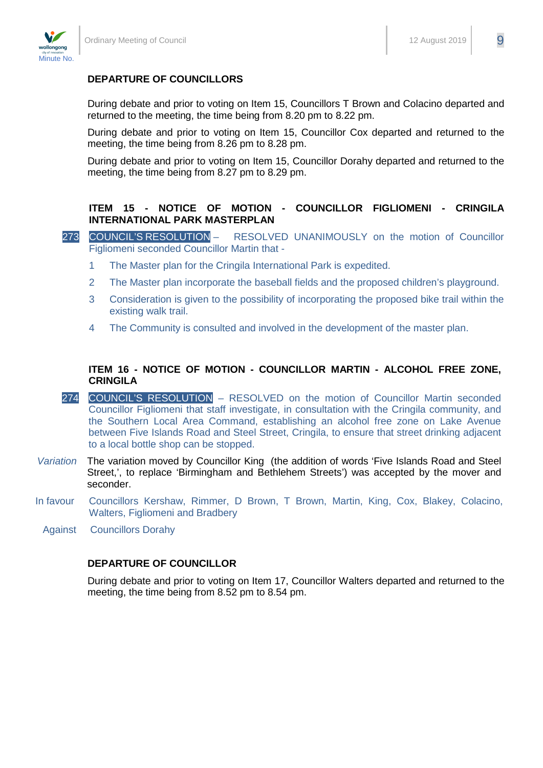

### **DEPARTURE OF COUNCILLORS**

During debate and prior to voting on Item 15, Councillors T Brown and Colacino departed and returned to the meeting, the time being from 8.20 pm to 8.22 pm.

During debate and prior to voting on Item 15, Councillor Cox departed and returned to the meeting, the time being from 8.26 pm to 8.28 pm.

During debate and prior to voting on Item 15, Councillor Dorahy departed and returned to the meeting, the time being from 8.27 pm to 8.29 pm.

#### **ITEM 15 - NOTICE OF MOTION - COUNCILLOR FIGLIOMENI - CRINGILA INTERNATIONAL PARK MASTERPLAN**

- 273 COUNCIL'S RESOLUTION RESOLVED UNANIMOUSLY on the motion of Councillor Figliomeni seconded Councillor Martin that -
	- 1 The Master plan for the Cringila International Park is expedited.
	- 2 The Master plan incorporate the baseball fields and the proposed children's playground.
	- 3 Consideration is given to the possibility of incorporating the proposed bike trail within the existing walk trail.
	- 4 The Community is consulted and involved in the development of the master plan.

#### **ITEM 16 - NOTICE OF MOTION - COUNCILLOR MARTIN - ALCOHOL FREE ZONE, CRINGILA**

- 274 COUNCIL'S RESOLUTION RESOLVED on the motion of Councillor Martin seconded Councillor Figliomeni that staff investigate, in consultation with the Cringila community, and the Southern Local Area Command, establishing an alcohol free zone on Lake Avenue between Five Islands Road and Steel Street, Cringila, to ensure that street drinking adjacent to a local bottle shop can be stopped.
- *Variation* The variation moved by Councillor King (the addition of words 'Five Islands Road and Steel Street,', to replace 'Birmingham and Bethlehem Streets') was accepted by the mover and seconder.
- In favour Councillors Kershaw, Rimmer, D Brown, T Brown, Martin, King, Cox, Blakey, Colacino, Walters, Figliomeni and Bradbery
	- Against Councillors Dorahy

#### **DEPARTURE OF COUNCILLOR**

During debate and prior to voting on Item 17, Councillor Walters departed and returned to the meeting, the time being from 8.52 pm to 8.54 pm.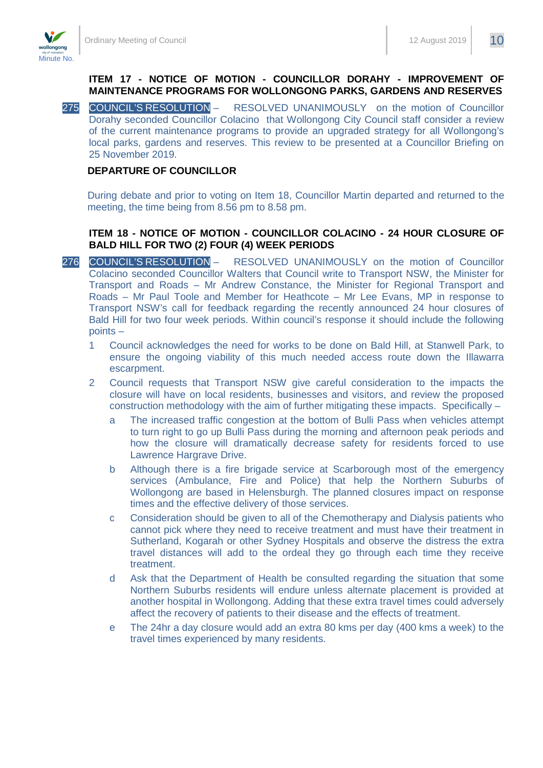

#### **ITEM 17 - NOTICE OF MOTION - COUNCILLOR DORAHY - IMPROVEMENT OF MAINTENANCE PROGRAMS FOR WOLLONGONG PARKS, GARDENS AND RESERVES**

275 COUNCIL'S RESOLUTION - RESOLVED UNANIMOUSLY on the motion of Councillor Dorahy seconded Councillor Colacino that Wollongong City Council staff consider a review of the current maintenance programs to provide an upgraded strategy for all Wollongong's local parks, gardens and reserves. This review to be presented at a Councillor Briefing on 25 November 2019.

#### **DEPARTURE OF COUNCILLOR**

During debate and prior to voting on Item 18, Councillor Martin departed and returned to the meeting, the time being from 8.56 pm to 8.58 pm.

#### **ITEM 18 - NOTICE OF MOTION - COUNCILLOR COLACINO - 24 HOUR CLOSURE OF BALD HILL FOR TWO (2) FOUR (4) WEEK PERIODS**

- 276 COUNCIL'S RESOLUTION RESOLVED UNANIMOUSLY on the motion of Councillor Colacino seconded Councillor Walters that Council write to Transport NSW, the Minister for Transport and Roads – Mr Andrew Constance, the Minister for Regional Transport and Roads – Mr Paul Toole and Member for Heathcote – Mr Lee Evans, MP in response to Transport NSW's call for feedback regarding the recently announced 24 hour closures of Bald Hill for two four week periods. Within council's response it should include the following points –
	- 1 Council acknowledges the need for works to be done on Bald Hill, at Stanwell Park, to ensure the ongoing viability of this much needed access route down the Illawarra escarpment.
	- 2 Council requests that Transport NSW give careful consideration to the impacts the closure will have on local residents, businesses and visitors, and review the proposed construction methodology with the aim of further mitigating these impacts. Specifically –
		- a The increased traffic congestion at the bottom of Bulli Pass when vehicles attempt to turn right to go up Bulli Pass during the morning and afternoon peak periods and how the closure will dramatically decrease safety for residents forced to use Lawrence Hargrave Drive.
		- b Although there is a fire brigade service at Scarborough most of the emergency services (Ambulance, Fire and Police) that help the Northern Suburbs of Wollongong are based in Helensburgh. The planned closures impact on response times and the effective delivery of those services.
		- c Consideration should be given to all of the Chemotherapy and Dialysis patients who cannot pick where they need to receive treatment and must have their treatment in Sutherland, Kogarah or other Sydney Hospitals and observe the distress the extra travel distances will add to the ordeal they go through each time they receive treatment.
		- d Ask that the Department of Health be consulted regarding the situation that some Northern Suburbs residents will endure unless alternate placement is provided at another hospital in Wollongong. Adding that these extra travel times could adversely affect the recovery of patients to their disease and the effects of treatment.
		- e The 24hr a day closure would add an extra 80 kms per day (400 kms a week) to the travel times experienced by many residents.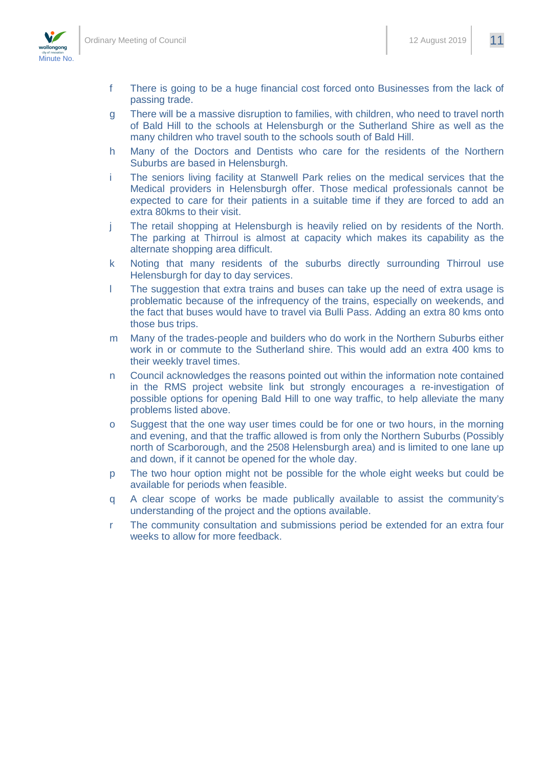

- f There is going to be a huge financial cost forced onto Businesses from the lack of passing trade.
- g There will be a massive disruption to families, with children, who need to travel north of Bald Hill to the schools at Helensburgh or the Sutherland Shire as well as the many children who travel south to the schools south of Bald Hill.
- h Many of the Doctors and Dentists who care for the residents of the Northern Suburbs are based in Helensburgh.
- i The seniors living facility at Stanwell Park relies on the medical services that the Medical providers in Helensburgh offer. Those medical professionals cannot be expected to care for their patients in a suitable time if they are forced to add an extra 80kms to their visit.
- j The retail shopping at Helensburgh is heavily relied on by residents of the North. The parking at Thirroul is almost at capacity which makes its capability as the alternate shopping area difficult.
- k Noting that many residents of the suburbs directly surrounding Thirroul use Helensburgh for day to day services.
- l The suggestion that extra trains and buses can take up the need of extra usage is problematic because of the infrequency of the trains, especially on weekends, and the fact that buses would have to travel via Bulli Pass. Adding an extra 80 kms onto those bus trips.
- m Many of the trades-people and builders who do work in the Northern Suburbs either work in or commute to the Sutherland shire. This would add an extra 400 kms to their weekly travel times.
- n Council acknowledges the reasons pointed out within the information note contained in the RMS project website link but strongly encourages a re-investigation of possible options for opening Bald Hill to one way traffic, to help alleviate the many problems listed above.
- o Suggest that the one way user times could be for one or two hours, in the morning and evening, and that the traffic allowed is from only the Northern Suburbs (Possibly north of Scarborough, and the 2508 Helensburgh area) and is limited to one lane up and down, if it cannot be opened for the whole day.
- p The two hour option might not be possible for the whole eight weeks but could be available for periods when feasible.
- q A clear scope of works be made publically available to assist the community's understanding of the project and the options available.
- r The community consultation and submissions period be extended for an extra four weeks to allow for more feedback.